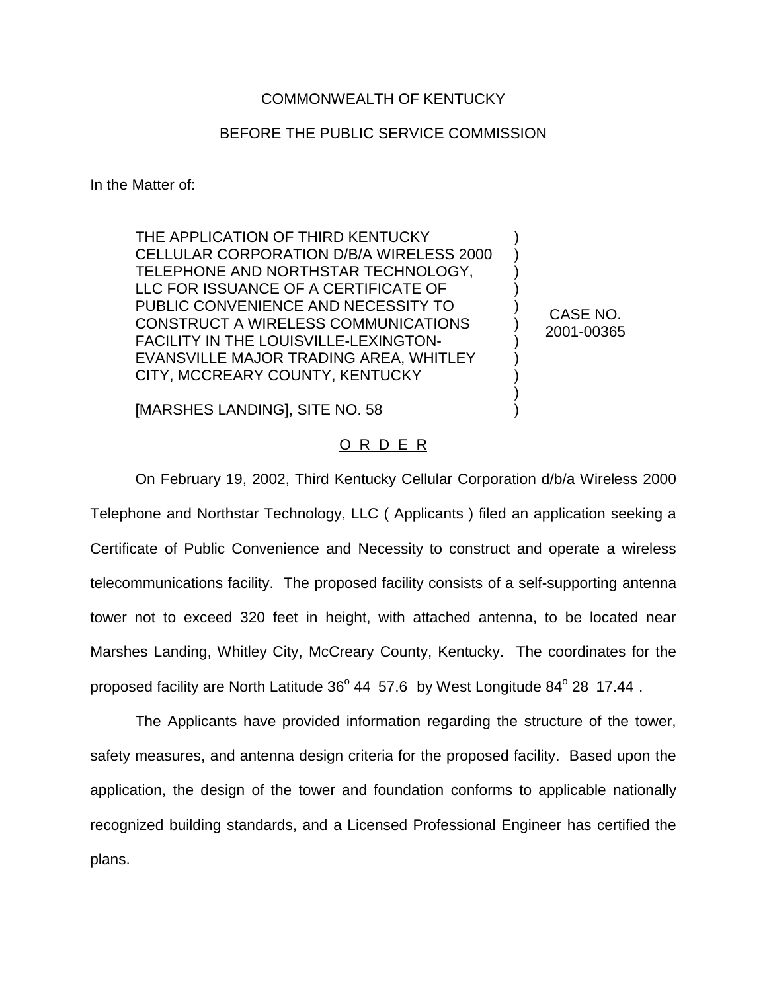## COMMONWEALTH OF KENTUCKY

## BEFORE THE PUBLIC SERVICE COMMISSION

) ) ) ) ) ) ) ) ) ) )

CASE NO. 2001-00365

In the Matter of:

THE APPLICATION OF THIRD KENTUCKY CELLULAR CORPORATION D/B/A WIRELESS 2000 TELEPHONE AND NORTHSTAR TECHNOLOGY, LLC FOR ISSUANCE OF A CERTIFICATE OF PUBLIC CONVENIENCE AND NECESSITY TO CONSTRUCT A WIRELESS COMMUNICATIONS FACILITY IN THE LOUISVILLE-LEXINGTON-EVANSVILLE MAJOR TRADING AREA, WHITLEY CITY, MCCREARY COUNTY, KENTUCKY

[MARSHES LANDING], SITE NO. 58

## O R D E R

On February 19, 2002, Third Kentucky Cellular Corporation d/b/a Wireless 2000 Telephone and Northstar Technology, LLC ( Applicants ) filed an application seeking a Certificate of Public Convenience and Necessity to construct and operate a wireless telecommunications facility. The proposed facility consists of a self-supporting antenna tower not to exceed 320 feet in height, with attached antenna, to be located near Marshes Landing, Whitley City, McCreary County, Kentucky. The coordinates for the proposed facility are North Latitude  $36^{\circ}$  44 57.6 by West Longitude  $84^{\circ}$  28 17.44.

The Applicants have provided information regarding the structure of the tower, safety measures, and antenna design criteria for the proposed facility. Based upon the application, the design of the tower and foundation conforms to applicable nationally recognized building standards, and a Licensed Professional Engineer has certified the plans.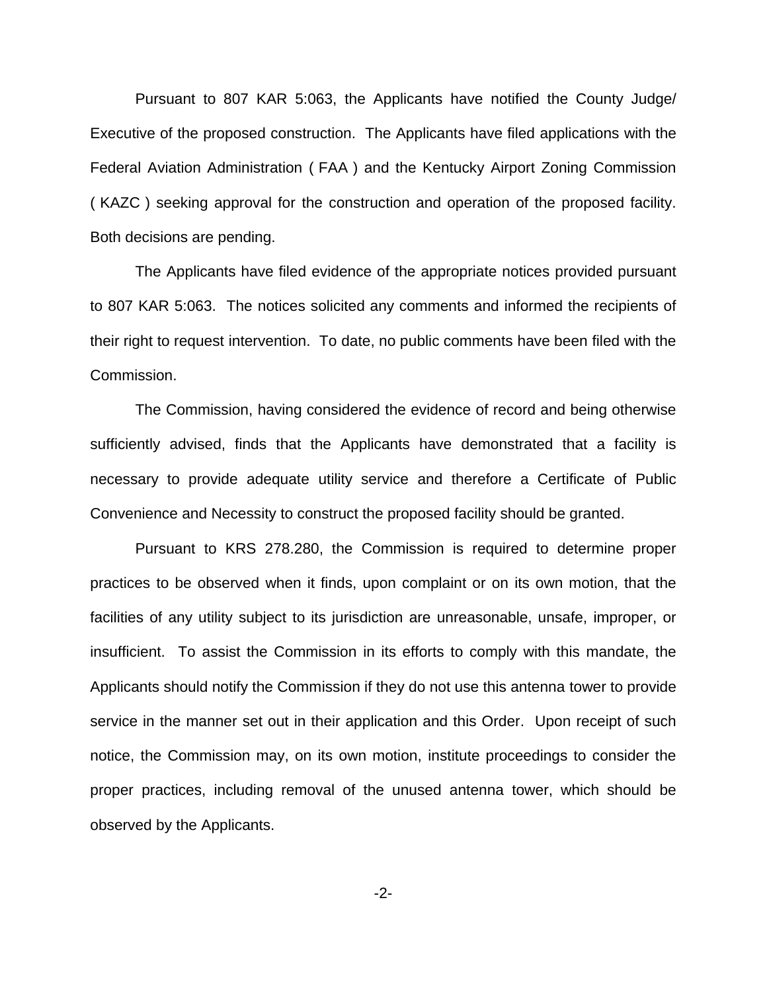Pursuant to 807 KAR 5:063, the Applicants have notified the County Judge/ Executive of the proposed construction. The Applicants have filed applications with the Federal Aviation Administration ( FAA ) and the Kentucky Airport Zoning Commission ( KAZC ) seeking approval for the construction and operation of the proposed facility. Both decisions are pending.

The Applicants have filed evidence of the appropriate notices provided pursuant to 807 KAR 5:063. The notices solicited any comments and informed the recipients of their right to request intervention. To date, no public comments have been filed with the Commission.

The Commission, having considered the evidence of record and being otherwise sufficiently advised, finds that the Applicants have demonstrated that a facility is necessary to provide adequate utility service and therefore a Certificate of Public Convenience and Necessity to construct the proposed facility should be granted.

Pursuant to KRS 278.280, the Commission is required to determine proper practices to be observed when it finds, upon complaint or on its own motion, that the facilities of any utility subject to its jurisdiction are unreasonable, unsafe, improper, or insufficient. To assist the Commission in its efforts to comply with this mandate, the Applicants should notify the Commission if they do not use this antenna tower to provide service in the manner set out in their application and this Order. Upon receipt of such notice, the Commission may, on its own motion, institute proceedings to consider the proper practices, including removal of the unused antenna tower, which should be observed by the Applicants.

-2-